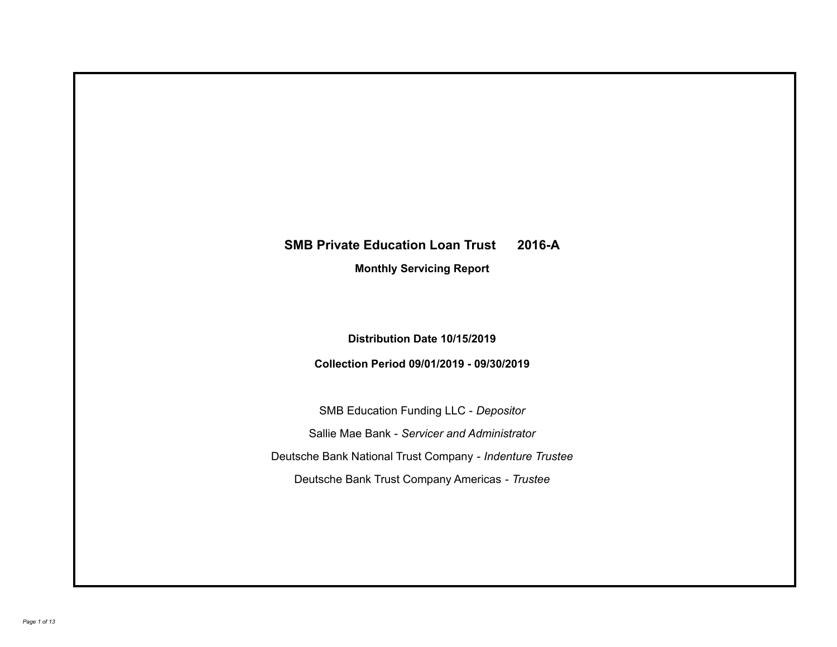# **SMB Private Education Loan Trust 2016-A**

**Monthly Servicing Report**

**Distribution Date 10/15/2019**

**Collection Period 09/01/2019 - 09/30/2019**

SMB Education Funding LLC - *Depositor* Sallie Mae Bank - *Servicer and Administrator* Deutsche Bank National Trust Company - *Indenture Trustee* Deutsche Bank Trust Company Americas - *Trustee*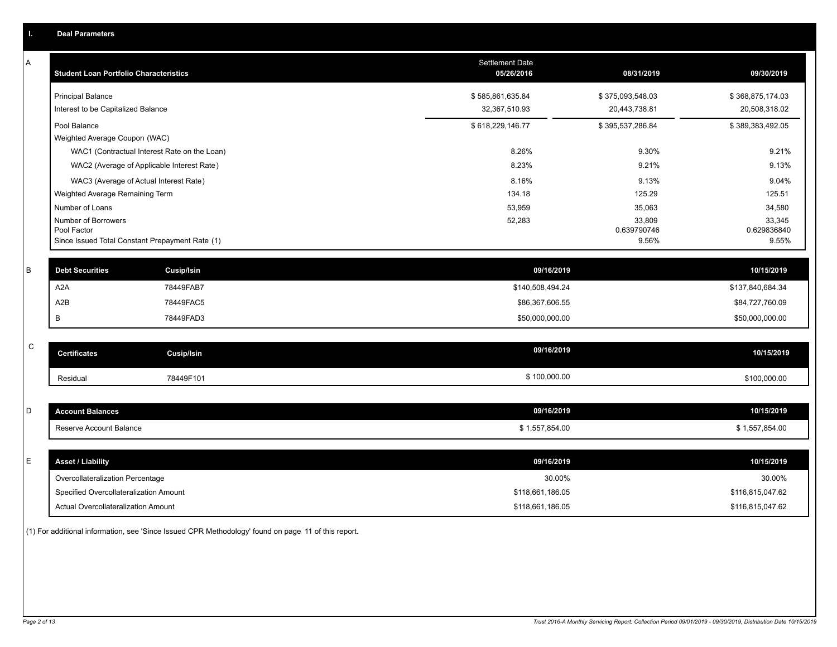|             | <b>Deal Parameters</b>                                         |                                                                                            |                                      |                                          |                                          |
|-------------|----------------------------------------------------------------|--------------------------------------------------------------------------------------------|--------------------------------------|------------------------------------------|------------------------------------------|
| A           | <b>Student Loan Portfolio Characteristics</b>                  |                                                                                            | <b>Settlement Date</b><br>05/26/2016 | 08/31/2019                               | 09/30/2019                               |
|             | <b>Principal Balance</b><br>Interest to be Capitalized Balance |                                                                                            | \$585,861,635.84<br>32,367,510.93    | \$375,093,548.03<br>20,443,738.81        | \$368,875,174.03<br>20,508,318.02        |
|             | Pool Balance<br>Weighted Average Coupon (WAC)                  |                                                                                            | \$618,229,146.77                     | \$395,537,286.84                         | \$389,383,492.05                         |
|             |                                                                | WAC1 (Contractual Interest Rate on the Loan)<br>WAC2 (Average of Applicable Interest Rate) | 8.26%<br>8.23%                       | 9.30%<br>9.21%                           | 9.21%<br>9.13%                           |
|             | Weighted Average Remaining Term                                | WAC3 (Average of Actual Interest Rate)                                                     | 8.16%<br>134.18                      | 9.13%<br>125.29                          | 9.04%<br>125.51                          |
|             | Number of Loans<br>Number of Borrowers<br>Pool Factor          | Since Issued Total Constant Prepayment Rate (1)                                            | 53,959<br>52,283                     | 35,063<br>33,809<br>0.639790746<br>9.56% | 34,580<br>33,345<br>0.629836840<br>9.55% |
| B           | <b>Debt Securities</b>                                         | Cusip/Isin                                                                                 | 09/16/2019                           |                                          | 10/15/2019                               |
|             | A <sub>2</sub> A                                               | 78449FAB7                                                                                  | \$140,508,494.24                     |                                          | \$137,840,684.34                         |
|             | A <sub>2</sub> B                                               | 78449FAC5                                                                                  | \$86,367,606.55                      |                                          | \$84,727,760.09                          |
|             | B                                                              | 78449FAD3                                                                                  | \$50,000,000.00                      |                                          | \$50,000,000.00                          |
| $\mathbf C$ | <b>Certificates</b>                                            | Cusip/Isin                                                                                 | 09/16/2019                           |                                          | 10/15/2019                               |
|             | Residual                                                       | 78449F101                                                                                  | \$100,000.00                         |                                          | \$100,000.00                             |
| D           | <b>Account Balances</b>                                        |                                                                                            | 09/16/2019                           |                                          | 10/15/2019                               |
|             | Reserve Account Balance                                        |                                                                                            | \$1,557,854.00                       |                                          | \$1,557,854.00                           |
| E           | <b>Asset / Liability</b>                                       |                                                                                            | 09/16/2019                           |                                          | 10/15/2019                               |
|             | Overcollateralization Percentage                               |                                                                                            | 30.00%                               |                                          | 30.00%                                   |
|             | Specified Overcollateralization Amount                         |                                                                                            | \$118,661,186.05                     |                                          | \$116,815,047.62                         |
|             | Actual Overcollateralization Amount                            |                                                                                            | \$118,661,186.05                     |                                          | \$116,815,047.62                         |
|             |                                                                |                                                                                            |                                      |                                          |                                          |

(1) For additional information, see 'Since Issued CPR Methodology' found on page 11 of this report.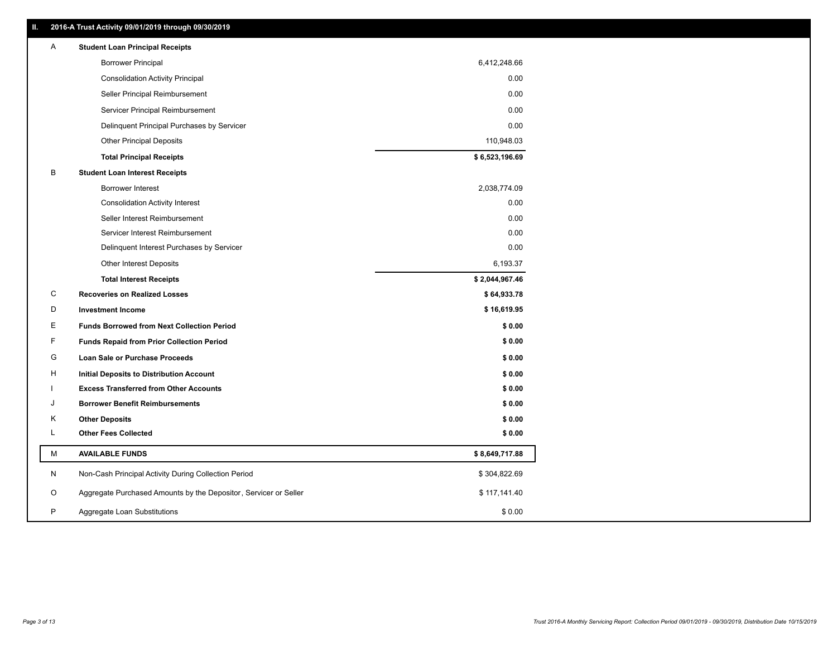| Ш. | 2016-A Trust Activity 09/01/2019 through 09/30/2019              |                |
|----|------------------------------------------------------------------|----------------|
| A  | <b>Student Loan Principal Receipts</b>                           |                |
|    | <b>Borrower Principal</b>                                        | 6,412,248.66   |
|    | <b>Consolidation Activity Principal</b>                          | 0.00           |
|    | Seller Principal Reimbursement                                   | 0.00           |
|    | Servicer Principal Reimbursement                                 | 0.00           |
|    | Delinquent Principal Purchases by Servicer                       | 0.00           |
|    | <b>Other Principal Deposits</b>                                  | 110,948.03     |
|    | <b>Total Principal Receipts</b>                                  | \$6,523,196.69 |
| в  | <b>Student Loan Interest Receipts</b>                            |                |
|    | <b>Borrower Interest</b>                                         | 2,038,774.09   |
|    | <b>Consolidation Activity Interest</b>                           | 0.00           |
|    | Seller Interest Reimbursement                                    | 0.00           |
|    | Servicer Interest Reimbursement                                  | 0.00           |
|    | Delinquent Interest Purchases by Servicer                        | 0.00           |
|    | <b>Other Interest Deposits</b>                                   | 6,193.37       |
|    | <b>Total Interest Receipts</b>                                   | \$2,044,967.46 |
| C  | <b>Recoveries on Realized Losses</b>                             | \$64,933.78    |
| D  | <b>Investment Income</b>                                         | \$16,619.95    |
| Ε  | <b>Funds Borrowed from Next Collection Period</b>                | \$0.00         |
| F  | <b>Funds Repaid from Prior Collection Period</b>                 | \$0.00         |
| G  | Loan Sale or Purchase Proceeds                                   | \$0.00         |
| H  | Initial Deposits to Distribution Account                         | \$0.00         |
|    | <b>Excess Transferred from Other Accounts</b>                    | \$0.00         |
| J  | <b>Borrower Benefit Reimbursements</b>                           | \$0.00         |
| Κ  | <b>Other Deposits</b>                                            | \$0.00         |
| Г  | <b>Other Fees Collected</b>                                      | \$0.00         |
| М  | <b>AVAILABLE FUNDS</b>                                           | \$8,649,717.88 |
| N  | Non-Cash Principal Activity During Collection Period             | \$304,822.69   |
| O  | Aggregate Purchased Amounts by the Depositor, Servicer or Seller | \$117,141.40   |
| P  | Aggregate Loan Substitutions                                     | \$0.00         |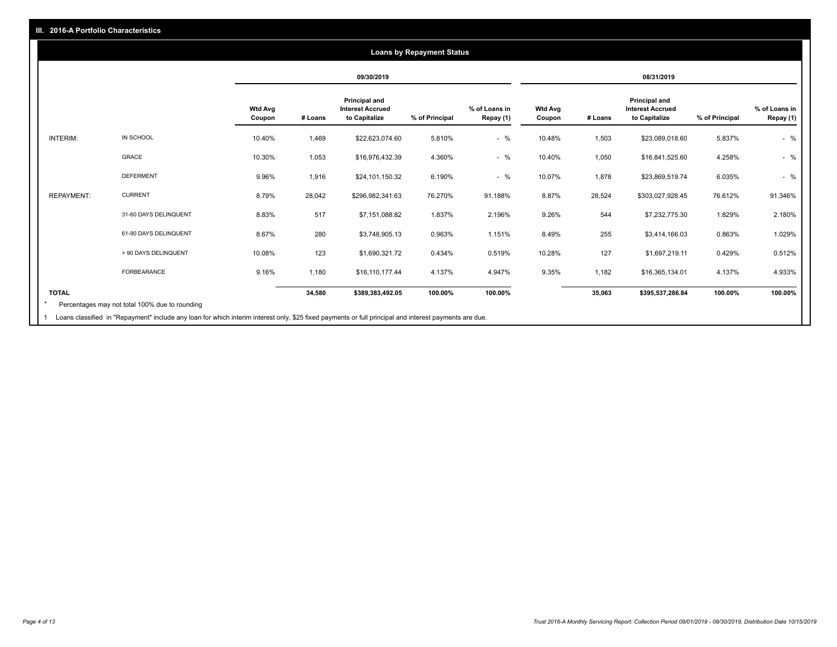#### **09/30/2019 08/31/2019 Wtd Avg Coupon # Loans Principal and Interest Accrued to Capitalize % of Principal % of Loans in Repay (1) Wtd Avg Coupon # Loans Principal and Interest Accrued to Capitalize % of Principal % of Loans in Repay (1)**  INTERIM: IN SCHOOL 10.40% 1,469 \$22,623,074.60 5.810% - % 10.48% 1,503 \$23,089,018.60 5.837% - % GRACE 10.30% 1,053 \$16,976,432.39 4.360% - % 10.40% 1,050 \$16,841,525.60 4.258% - % DEFERMENT 9.96% 1,916 \$24,101,150.32 6.190% - % 10.07% 1,878 \$23,869,519.74 6.035% - % REPAYMENT: CURRENT 8.79% 28,042 \$296,982,341.63 76.270% 91.188% 8.87% 28,524 \$303,027,928.45 76.612% 91.346% 31-60 DAYS DELINQUENT 8.83% 517 \$7,151,088.82 1.837% 2.196% 9.26% 544 \$7,232,775.30 1.829% 2.180% 61-90 DAYS DELINQUENT 8.67% 280 \$3,748,905.13 0.963% 1.151% 8.49% 255 \$3,414,166.03 0.863% 1.029% > 90 DAYS DELINQUENT 10.08% 123 \$1,690,321.72 0.434% 0.519% 10.28% 127 \$1,697,219.11 0.429% 0.512% FORBEARANCE 9.16% 1,180 \$16,110,177.44 4.137% 4.947% 9.35% 1,182 \$16,365,134.01 4.137% 4.933% **TOTAL 34,580 \$389,383,492.05 100.00% 100.00% 35,063 \$395,537,286.84 100.00% 100.00% Loans by Repayment Status** Percentages may not total 100% due to rounding \*

1 Loans classified in "Repayment" include any loan for which interim interest only, \$25 fixed payments or full principal and interest payments are due.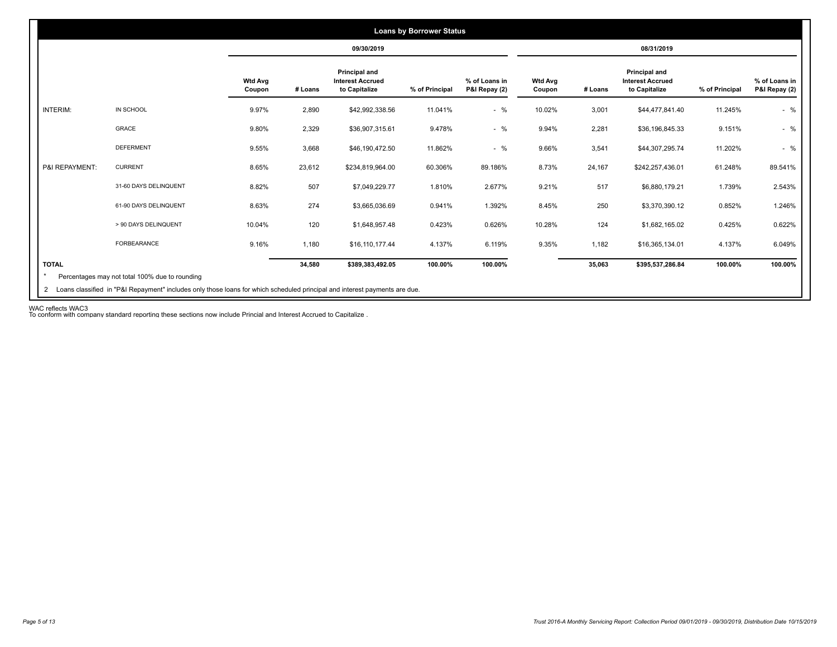|                |                       |                          |         | 09/30/2019                                                       |                |                                |                          |         | 08/31/2019                                                |                |                                |
|----------------|-----------------------|--------------------------|---------|------------------------------------------------------------------|----------------|--------------------------------|--------------------------|---------|-----------------------------------------------------------|----------------|--------------------------------|
|                |                       | <b>Wtd Avg</b><br>Coupon | # Loans | <b>Principal and</b><br><b>Interest Accrued</b><br>to Capitalize | % of Principal | % of Loans in<br>P&I Repay (2) | <b>Wtd Avg</b><br>Coupon | # Loans | Principal and<br><b>Interest Accrued</b><br>to Capitalize | % of Principal | % of Loans in<br>P&I Repay (2) |
| INTERIM:       | IN SCHOOL             | 9.97%                    | 2,890   | \$42,992,338.56                                                  | 11.041%        | $-$ %                          | 10.02%                   | 3,001   | \$44,477,841.40                                           | 11.245%        | $-$ %                          |
|                | GRACE                 | 9.80%                    | 2,329   | \$36,907,315.61                                                  | 9.478%         | $-$ %                          | 9.94%                    | 2,281   | \$36,196,845.33                                           | 9.151%         | $-$ %                          |
|                | <b>DEFERMENT</b>      | 9.55%                    | 3,668   | \$46,190,472.50                                                  | 11.862%        | $-$ %                          | 9.66%                    | 3,541   | \$44,307,295.74                                           | 11.202%        | $-$ %                          |
| P&I REPAYMENT: | <b>CURRENT</b>        | 8.65%                    | 23,612  | \$234,819,964.00                                                 | 60.306%        | 89.186%                        | 8.73%                    | 24,167  | \$242,257,436.01                                          | 61.248%        | 89.541%                        |
|                | 31-60 DAYS DELINQUENT | 8.82%                    | 507     | \$7,049,229.77                                                   | 1.810%         | 2.677%                         | 9.21%                    | 517     | \$6,880,179.21                                            | 1.739%         | 2.543%                         |
|                | 61-90 DAYS DELINQUENT | 8.63%                    | 274     | \$3,665,036.69                                                   | 0.941%         | 1.392%                         | 8.45%                    | 250     | \$3,370,390.12                                            | 0.852%         | 1.246%                         |
|                | > 90 DAYS DELINQUENT  | 10.04%                   | 120     | \$1,648,957.48                                                   | 0.423%         | 0.626%                         | 10.28%                   | 124     | \$1,682,165.02                                            | 0.425%         | 0.622%                         |
|                | <b>FORBEARANCE</b>    | 9.16%                    | 1,180   | \$16,110,177.44                                                  | 4.137%         | 6.119%                         | 9.35%                    | 1,182   | \$16,365,134.01                                           | 4.137%         | 6.049%                         |
| <b>TOTAL</b>   |                       |                          | 34,580  | \$389,383,492.05                                                 | 100.00%        | 100.00%                        |                          | 35,063  | \$395,537,286.84                                          | 100.00%        | 100.00%                        |

WAC reflects WAC3 To conform with company standard reporting these sections now include Princial and Interest Accrued to Capitalize .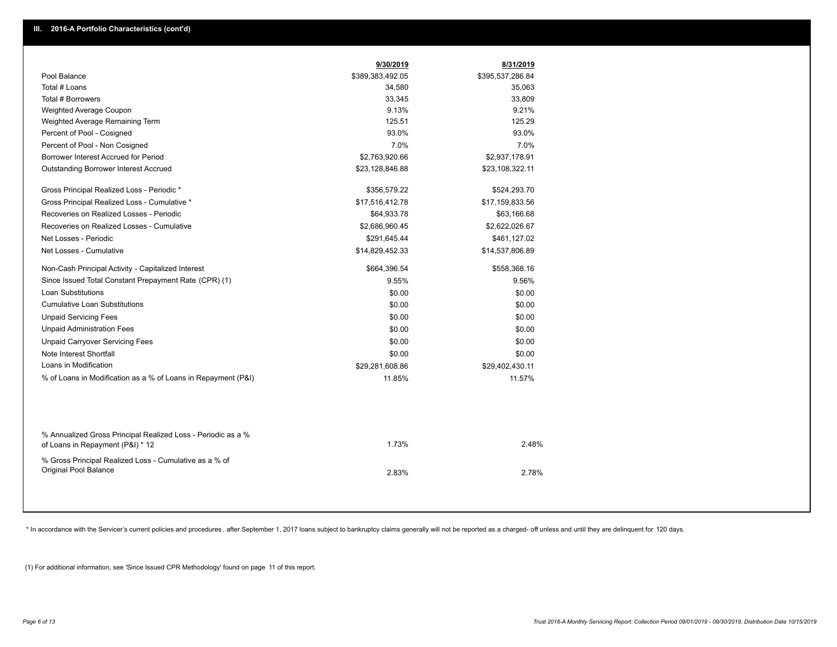|                                                                                                  | 9/30/2019        | 8/31/2019        |
|--------------------------------------------------------------------------------------------------|------------------|------------------|
| Pool Balance                                                                                     | \$389,383,492.05 | \$395,537,286.84 |
| Total # Loans                                                                                    | 34,580           | 35,063           |
| Total # Borrowers                                                                                | 33,345           | 33,809           |
| Weighted Average Coupon                                                                          | 9.13%            | 9.21%            |
| Weighted Average Remaining Term                                                                  | 125.51           | 125.29           |
| Percent of Pool - Cosigned                                                                       | 93.0%            | 93.0%            |
| Percent of Pool - Non Cosigned                                                                   | 7.0%             | 7.0%             |
| Borrower Interest Accrued for Period                                                             | \$2,763,920.66   | \$2,937,178.91   |
| Outstanding Borrower Interest Accrued                                                            | \$23,128,846.88  | \$23,108,322.11  |
| Gross Principal Realized Loss - Periodic *                                                       | \$356,579.22     | \$524,293.70     |
| Gross Principal Realized Loss - Cumulative *                                                     | \$17,516,412.78  | \$17,159,833.56  |
| Recoveries on Realized Losses - Periodic                                                         | \$64,933.78      | \$63,166.68      |
| Recoveries on Realized Losses - Cumulative                                                       | \$2,686,960.45   | \$2,622,026.67   |
| Net Losses - Periodic                                                                            | \$291,645.44     | \$461,127.02     |
| Net Losses - Cumulative                                                                          | \$14,829,452.33  | \$14,537,806.89  |
| Non-Cash Principal Activity - Capitalized Interest                                               | \$664,396.54     | \$558,368.16     |
| Since Issued Total Constant Prepayment Rate (CPR) (1)                                            | 9.55%            | 9.56%            |
| <b>Loan Substitutions</b>                                                                        | \$0.00           | \$0.00           |
| <b>Cumulative Loan Substitutions</b>                                                             | \$0.00           | \$0.00           |
| <b>Unpaid Servicing Fees</b>                                                                     | \$0.00           | \$0.00           |
| <b>Unpaid Administration Fees</b>                                                                | \$0.00           | \$0.00           |
| <b>Unpaid Carryover Servicing Fees</b>                                                           | \$0.00           | \$0.00           |
| Note Interest Shortfall                                                                          | \$0.00           | \$0.00           |
| Loans in Modification                                                                            | \$29,281,608.86  | \$29,402,430.11  |
| % of Loans in Modification as a % of Loans in Repayment (P&I)                                    | 11.85%           | 11.57%           |
|                                                                                                  |                  |                  |
| % Annualized Gross Principal Realized Loss - Periodic as a %<br>of Loans in Repayment (P&I) * 12 | 1.73%            | 2.48%            |
| % Gross Principal Realized Loss - Cumulative as a % of<br><b>Original Pool Balance</b>           | 283%             | 278%             |

\* In accordance with the Servicer's current policies and procedures, after September 1, 2017 loans subject to bankruptcy claims generally will not be reported as a charged- off unless and until they are delinquent for 120

(1) For additional information, see 'Since Issued CPR Methodology' found on page 11 of this report.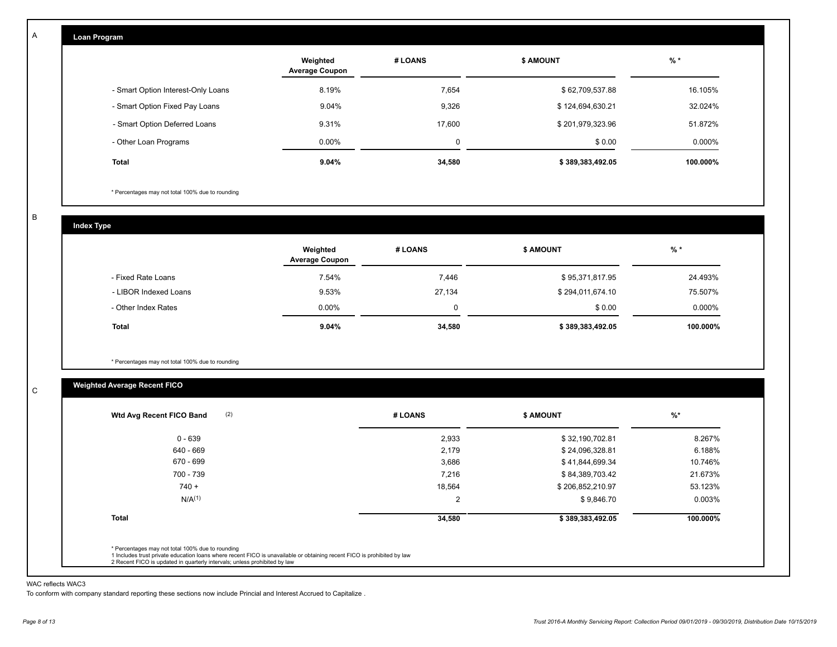| Loan Program                       |                                   |             |                  |          |
|------------------------------------|-----------------------------------|-------------|------------------|----------|
|                                    | Weighted<br><b>Average Coupon</b> | # LOANS     | <b>\$ AMOUNT</b> | $%$ *    |
| - Smart Option Interest-Only Loans | 8.19%                             | 7,654       | \$62,709,537.88  | 16.105%  |
| - Smart Option Fixed Pay Loans     | 9.04%                             | 9,326       | \$124,694,630.21 | 32.024%  |
| - Smart Option Deferred Loans      | 9.31%                             | 17,600      | \$201,979,323.96 | 51.872%  |
| - Other Loan Programs              | 0.00%                             | $\mathbf 0$ | \$0.00           | 0.000%   |
| <b>Total</b>                       | 9.04%                             | 34,580      | \$389,383,492.05 | 100.000% |

\* Percentages may not total 100% due to rounding

B

C

A

**Index Type**

|                       | Weighted<br><b>Average Coupon</b> | # LOANS | <b>\$ AMOUNT</b> | $%$ *    |
|-----------------------|-----------------------------------|---------|------------------|----------|
| - Fixed Rate Loans    | 7.54%                             | 7,446   | \$95,371,817.95  | 24.493%  |
| - LIBOR Indexed Loans | 9.53%                             | 27,134  | \$294,011,674.10 | 75.507%  |
| - Other Index Rates   | $0.00\%$                          | 0       | \$0.00           | 0.000%   |
| <b>Total</b>          | 9.04%                             | 34,580  | \$389,383,492.05 | 100.000% |

\* Percentages may not total 100% due to rounding

## **Weighted Average Recent FICO**

| 0 - 639            | 2,933  | \$32,190,702.81  | 8.267%   |
|--------------------|--------|------------------|----------|
| 640 - 669          | 2,179  | \$24,096,328.81  | 6.188%   |
| 670 - 699          | 3,686  | \$41,844,699.34  | 10.746%  |
| 700 - 739          | 7,216  | \$84,389,703.42  | 21.673%  |
| $740 +$            | 18,564 | \$206,852,210.97 | 53.123%  |
| N/A <sup>(1)</sup> | 2      | \$9,846.70       | 0.003%   |
| <b>Total</b>       | 34,580 | \$389,383,492.05 | 100.000% |

#### WAC reflects WAC3

To conform with company standard reporting these sections now include Princial and Interest Accrued to Capitalize .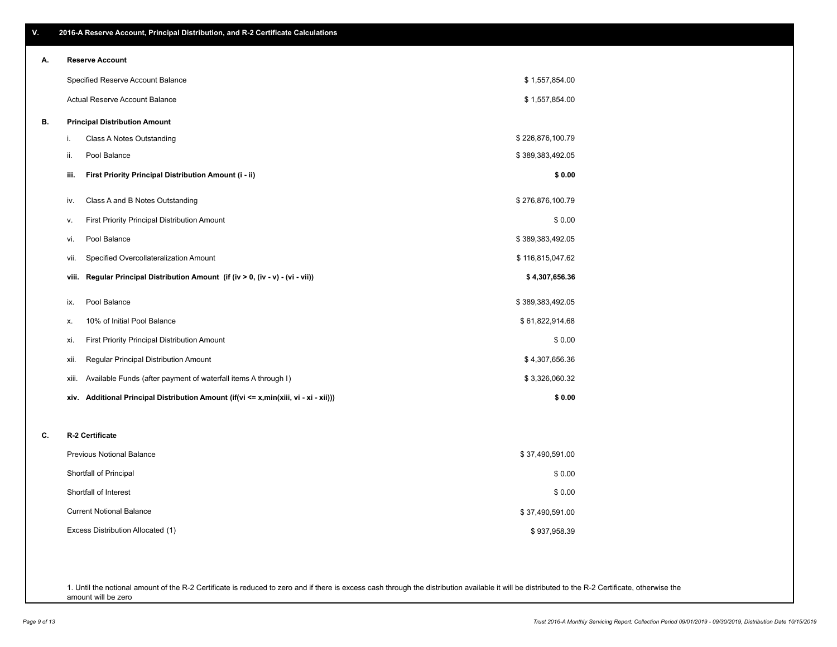| Α. |      | <b>Reserve Account</b>                                |                  |
|----|------|-------------------------------------------------------|------------------|
|    |      | Specified Reserve Account Balance                     | \$1,557,854.00   |
|    |      | Actual Reserve Account Balance                        | \$1,557,854.00   |
| В. |      | <b>Principal Distribution Amount</b>                  |                  |
|    |      | Class A Notes Outstanding                             | \$226,876,100.79 |
|    | ii.  | Pool Balance                                          | \$389,383,492.05 |
|    | iii. | First Priority Principal Distribution Amount (i - ii) | \$0.00           |
|    | iv.  | Class A and B Notes Outstanding                       | \$276,876,100.79 |
|    | v.   | First Priority Principal Distribution Amount          | \$0.00           |
|    | vi.  | Pool Balance                                          | \$389,383,492.05 |
|    | vii. | Specified Overcollateralization Amount                | \$116,815,047.62 |
|    |      |                                                       |                  |

| ix.   | Pool Balance                                                   | \$389,383,492.05 |
|-------|----------------------------------------------------------------|------------------|
| Х.    | 10% of Initial Pool Balance                                    | \$61,822,914.68  |
| xi.   | First Priority Principal Distribution Amount                   | \$0.00           |
| xii.  | Regular Principal Distribution Amount                          | \$4,307,656.36   |
| xiii. | Available Funds (after payment of waterfall items A through I) | \$3,326,060.32   |
|       |                                                                |                  |

**xiv. Additional Principal Distribution Amount (if(vi <= x,min(xiii, vi - xi - xii))) \$ 0.00**

**viii. Regular Principal Distribution Amount (if (iv > 0, (iv - v) - (vi - vii)) \$ 4,307,656.36**

#### **C. R-2 Certificate**

| <b>Previous Notional Balance</b>  | \$37,490,591.00 |
|-----------------------------------|-----------------|
| Shortfall of Principal            | \$0.00          |
| Shortfall of Interest             | \$0.00          |
| <b>Current Notional Balance</b>   | \$37,490,591.00 |
| Excess Distribution Allocated (1) | \$937,958.39    |

1. Until the notional amount of the R-2 Certificate is reduced to zero and if there is excess cash through the distribution available it will be distributed to the R-2 Certificate, otherwise the amount will be zero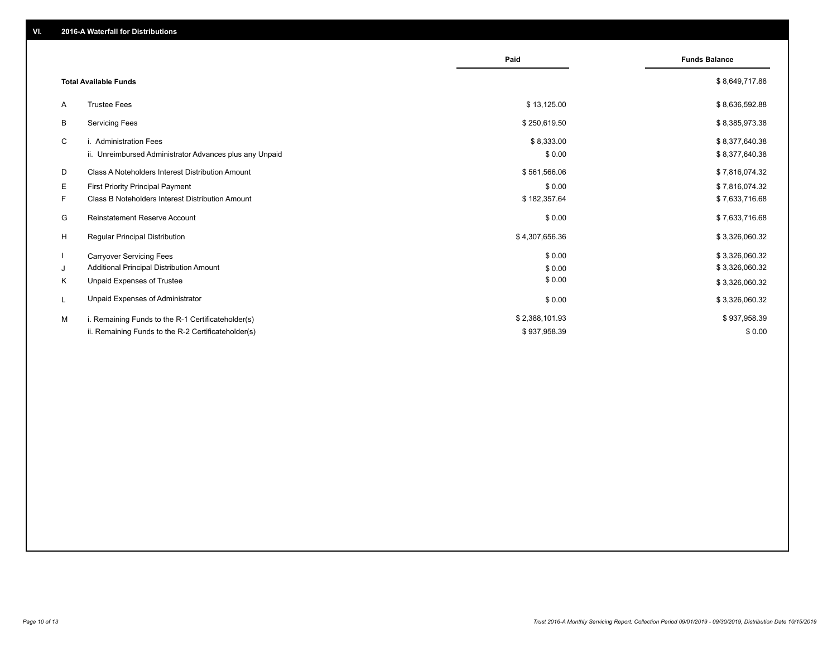|    |                                                         | Paid           | <b>Funds Balance</b> |
|----|---------------------------------------------------------|----------------|----------------------|
|    | <b>Total Available Funds</b>                            |                | \$8,649,717.88       |
| A  | <b>Trustee Fees</b>                                     | \$13,125.00    | \$8,636,592.88       |
| B  | <b>Servicing Fees</b>                                   | \$250,619.50   | \$8,385,973.38       |
| C  | i. Administration Fees                                  | \$8,333.00     | \$8,377,640.38       |
|    | ii. Unreimbursed Administrator Advances plus any Unpaid | \$0.00         | \$8,377,640.38       |
| D  | Class A Noteholders Interest Distribution Amount        | \$561,566.06   | \$7,816,074.32       |
| Е  | <b>First Priority Principal Payment</b>                 | \$0.00         | \$7,816,074.32       |
| F. | Class B Noteholders Interest Distribution Amount        | \$182,357.64   | \$7,633,716.68       |
| G  | <b>Reinstatement Reserve Account</b>                    | \$0.00         | \$7,633,716.68       |
| H  | <b>Regular Principal Distribution</b>                   | \$4,307,656.36 | \$3,326,060.32       |
|    | <b>Carryover Servicing Fees</b>                         | \$0.00         | \$3,326,060.32       |
| J  | Additional Principal Distribution Amount                | \$0.00         | \$3,326,060.32       |
| K  | Unpaid Expenses of Trustee                              | \$0.00         | \$3,326,060.32       |
|    | Unpaid Expenses of Administrator                        | \$0.00         | \$3,326,060.32       |
| M  | i. Remaining Funds to the R-1 Certificateholder(s)      | \$2,388,101.93 | \$937,958.39         |
|    | ii. Remaining Funds to the R-2 Certificateholder(s)     | \$937,958.39   | \$0.00               |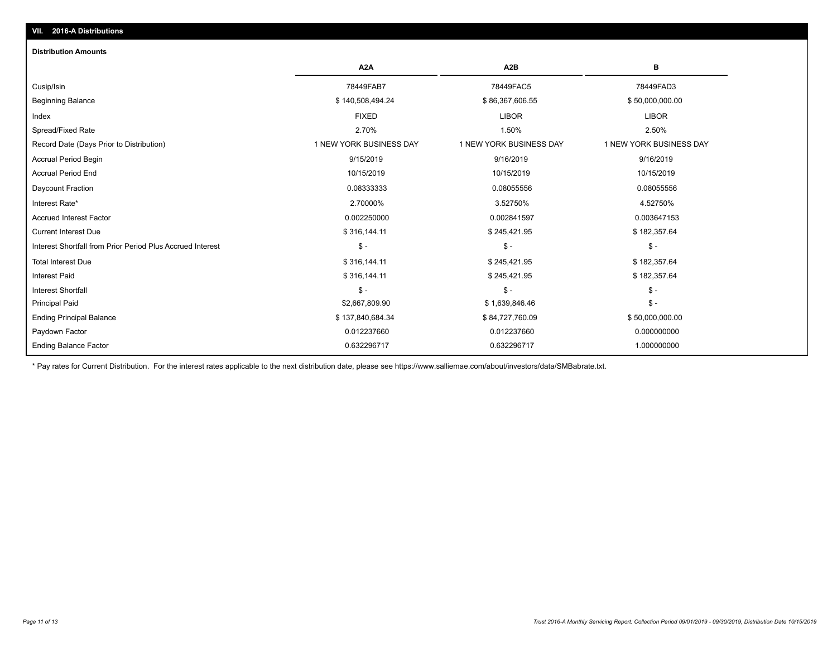# **VII. 2016-A Distributions**

#### **Distribution Amounts**

|                                                            | A <sub>2</sub> A        | A <sub>2</sub> B        | в                       |
|------------------------------------------------------------|-------------------------|-------------------------|-------------------------|
| Cusip/Isin                                                 | 78449FAB7               | 78449FAC5               | 78449FAD3               |
| <b>Beginning Balance</b>                                   | \$140,508,494.24        | \$86,367,606.55         | \$50,000,000.00         |
| Index                                                      | <b>FIXED</b>            | <b>LIBOR</b>            | <b>LIBOR</b>            |
| Spread/Fixed Rate                                          | 2.70%                   | 1.50%                   | 2.50%                   |
| Record Date (Days Prior to Distribution)                   | 1 NEW YORK BUSINESS DAY | 1 NEW YORK BUSINESS DAY | 1 NEW YORK BUSINESS DAY |
| Accrual Period Begin                                       | 9/15/2019               | 9/16/2019               | 9/16/2019               |
| <b>Accrual Period End</b>                                  | 10/15/2019              | 10/15/2019              | 10/15/2019              |
| Daycount Fraction                                          | 0.08333333              | 0.08055556              | 0.08055556              |
| Interest Rate*                                             | 2.70000%                | 3.52750%                | 4.52750%                |
| <b>Accrued Interest Factor</b>                             | 0.002250000             | 0.002841597             | 0.003647153             |
| <b>Current Interest Due</b>                                | \$316,144.11            | \$245,421.95            | \$182,357.64            |
| Interest Shortfall from Prior Period Plus Accrued Interest | $\mathsf{\$}$ -         | $$ -$                   | $\mathsf{\$}$ -         |
| <b>Total Interest Due</b>                                  | \$316,144.11            | \$245,421.95            | \$182,357.64            |
| <b>Interest Paid</b>                                       | \$316,144.11            | \$245,421.95            | \$182,357.64            |
| <b>Interest Shortfall</b>                                  | $$ -$                   | $$ -$                   | $\mathsf{\$}$ -         |
| <b>Principal Paid</b>                                      | \$2,667,809.90          | \$1,639,846.46          | $\mathsf{\$}$ -         |
| <b>Ending Principal Balance</b>                            | \$137,840,684.34        | \$84,727,760.09         | \$50,000,000.00         |
| Paydown Factor                                             | 0.012237660             | 0.012237660             | 0.000000000             |
| <b>Ending Balance Factor</b>                               | 0.632296717             | 0.632296717             | 1.000000000             |

\* Pay rates for Current Distribution. For the interest rates applicable to the next distribution date, please see https://www.salliemae.com/about/investors/data/SMBabrate.txt.